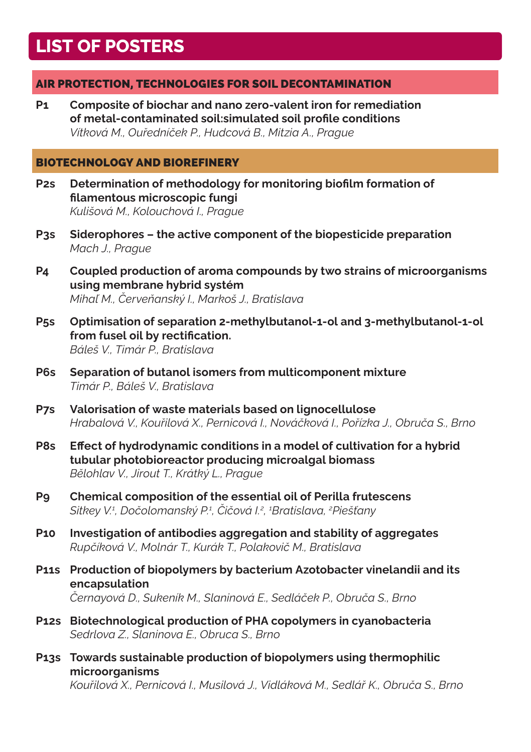# **LIST OF POSTERS**

# AIR PROTECTION, TECHNOLOGIES FOR SOIL DECONTAMINATION

**P1 Composite of biochar and nano zero-valent iron for remediation of metal-contaminated soil:simulated soil profile conditions** *Vítková M., Ouředníček P., Hudcová B., Mitzia A., Prague*

#### BIOTECHNOLOGY AND BIOREFINERY

- **P2s Determination of methodology for monitoring biofilm formation of filamentous microscopic fungi** *Kulišová M., Kolouchová I., Prague*
- **P3s Siderophores the active component of the biopesticide preparation** *Mach J., Prague*
- **P4 Coupled production of aroma compounds by two strains of microorganisms using membrane hybrid systém** *Mihaľ M., Červeňanský I., Markoš J., Bratislava*
- **P5s Optimisation of separation 2-methylbutanol-1-ol and 3-methylbutanol-1-ol from fusel oil by rectification.** *Báleš V., Timár P., Bratislava*
- **P6s Separation of butanol isomers from multicomponent mixture** *Timár P., Báleš V., Bratislava*
- **P7s Valorisation of waste materials based on lignocellulose** *Hrabalová V., Kouřilová X., Pernicová I., Nováčková I., Pořízka J., Obruča S., Brno*
- **P8s Effect of hydrodynamic conditions in a model of cultivation for a hybrid tubular photobioreactor producing microalgal biomass** *Bělohlav V., Jirout T., Krátký L., Prague*
- **P9 Chemical composition of the essential oil of Perilla frutescens** *Sitkey V.<sup>1</sup> , Dočolomanský P.<sup>1</sup> , Čičová I.<sup>2</sup> , 1 Bratislava, <sup>2</sup> Piešťany*
- **P10 Investigation of antibodies aggregation and stability of aggregates** *Rupčíková V., Molnár T., Kurák T., Polakovič M., Bratislava*
- **P11s Production of biopolymers by bacterium Azotobacter vinelandii and its encapsulation** *Černayová D., Sukeník M., Slaninová E., Sedláček P., Obruča S., Brno*
- **P12s Biotechnological production of PHA copolymers in cyanobacteria** *Sedrlova Z., Slaninova E., Obruca S., Brno*
- **P13s Towards sustainable production of biopolymers using thermophilic microorganisms**

*Kouřilová X., Pernicová I., Musilová J., Vidláková M., Sedlář K., Obruča S., Brno*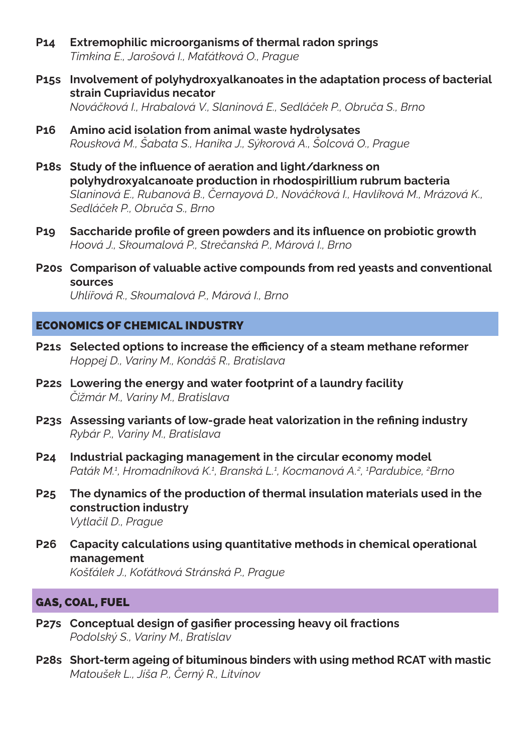- **P14 Extremophilic microorganisms of thermal radon springs** *Timkina E., Jarošová I., Maťátková O., Prague*
- **P15s Involvement of polyhydroxyalkanoates in the adaptation process of bacterial strain Cupriavidus necator** *Nováčková I., Hrabalová V., Slaninová E., Sedláček P., Obruča S., Brno*
- **P16 Amino acid isolation from animal waste hydrolysates** *Rousková M., Šabata S., Hanika J., Sýkorová A., Šolcová O., Prague*
- **P18s Study of the influence of aeration and light/darkness on polyhydroxyalcanoate production in rhodospirillium rubrum bacteria** *Slaninová E., Rubanová B., Černayová D., Nováčková I., Havlíková M., Mrázová K., Sedláček P., Obruča S., Brno*
- **P19 Saccharide profile of green powders and its influence on probiotic growth** *Hoová J., Skoumalová P., Strečanská P., Márová I., Brno*
- **P20s Comparison of valuable active compounds from red yeasts and conventional sources** *Uhlířová R., Skoumalová P., Márová I., Brno*

## ECONOMICS OF CHEMICAL INDUSTRY

- **P21s Selected options to increase the efficiency of a steam methane reformer** *Hoppej D., Variny M., Kondáš R., Bratislava*
- **P22s Lowering the energy and water footprint of a laundry facility** *Čižmár M., Variny M., Bratislava*
- **P23s Assessing variants of low-grade heat valorization in the refining industry** *Rybár P., Variny M., Bratislava*
- **P24 Industrial packaging management in the circular economy model** *Paták M.1 , Hromadníková K.<sup>1</sup> , Branská L.<sup>1</sup> , Kocmanová A.2 , 1 Pardubice, 2 Brno*
- **P25 The dynamics of the production of thermal insulation materials used in the construction industry** *Vytlačil D., Prague*
- **P26 Capacity calculations using quantitative methods in chemical operational** 
	- **management**

*Košťálek J., Koťátková Stránská P., Prague*

## GAS, COAL, FUEL

- **P27s Conceptual design of gasifier processing heavy oil fractions** *Podolský S., Variny M., Bratislav*
- **P28s Short-term ageing of bituminous binders with using method RCAT with mastic** *Matoušek L., Jíša P., Černý R., Litvínov*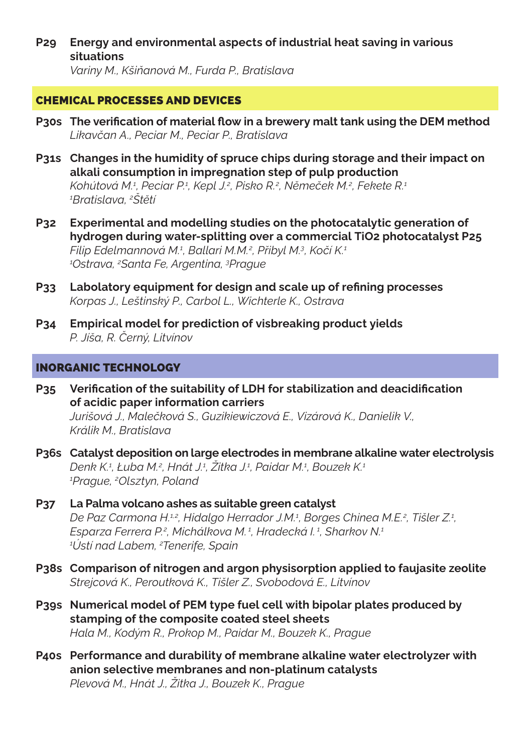**P29 Energy and environmental aspects of industrial heat saving in various situations**

*Variny M., Kšiňanová M., Furda P., Bratislava*

# CHEMICAL PROCESSES AND DEVICES

- **P30s The verification of material flow in a brewery malt tank using the DEM method** *Likavčan A., Peciar M., Peciar P., Bratislava*
- **P31s Changes in the humidity of spruce chips during storage and their impact on alkali consumption in impregnation step of pulp production** *Kohútová M.1 , Peciar P.1 , Kepl J.2 , Pisko R.2 , Němeček M.<sup>2</sup> , Fekete R.1 1 Bratislava, <sup>2</sup> Štětí*
- **P32 Experimental and modelling studies on the photocatalytic generation of hydrogen during water-splitting over a commercial TiO2 photocatalyst P25** *Filip Edelmannová M.<sup>1</sup> , Ballari M.M.<sup>2</sup> , Přibyl M.<sup>3</sup> , Kočí K.<sup>1</sup> 1 Ostrava, 2 Santa Fe, Argentina, 3 Prague*
- **P33 Labolatory equipment for design and scale up of refining processes** *Korpas J., Leštinský P., Carbol L., Wichterle K., Ostrava*
- **P34 Empirical model for prediction of visbreaking product yields** *P. Jíša, R. Černý, Litvínov*

## INORGANIC TECHNOLOGY

- **P35 Verification of the suitability of LDH for stabilization and deacidification of acidic paper information carriers** *Jurišová J., Malečková S., Guzikiewiczová E., Vizárová K., Danielik V., Králik M., Bratislava*
- **P36s Catalyst deposition on large electrodes in membrane alkaline water electrolysis** *Denk K.<sup>1</sup> , Łuba M.<sup>2</sup> , Hnát J.<sup>1</sup> , Žitka J.<sup>1</sup> , Paidar M.1 , Bouzek K.<sup>1</sup> 1 Prague, 2 Olsztyn, Poland*
- **P37 La Palma volcano ashes as suitable green catalyst** *De Paz Carmona H.1,2, Hidalgo Herrador J.M.<sup>1</sup> , Borges Chinea M.E.<sup>2</sup> , Tišler Z.1 , Esparza Ferrera P.<sup>2</sup> , Michálkova M. 1, Hradecká I. 1, Sharkov N.<sup>1</sup> 1 Ústí nad Labem, <sup>2</sup> Tenerife, Spain*
- **P38s Comparison of nitrogen and argon physisorption applied to faujasite zeolite** *Strejcová K., Peroutková K., Tišler Z., Svobodová E., Litvínov*
- **P39s Numerical model of PEM type fuel cell with bipolar plates produced by stamping of the composite coated steel sheets** *Hala M., Kodým R., Prokop M., Paidar M., Bouzek K., Prague*
- **P40s Performance and durability of membrane alkaline water electrolyzer with anion selective membranes and non-platinum catalysts** *Plevová M., Hnát J., Žitka J., Bouzek K., Prague*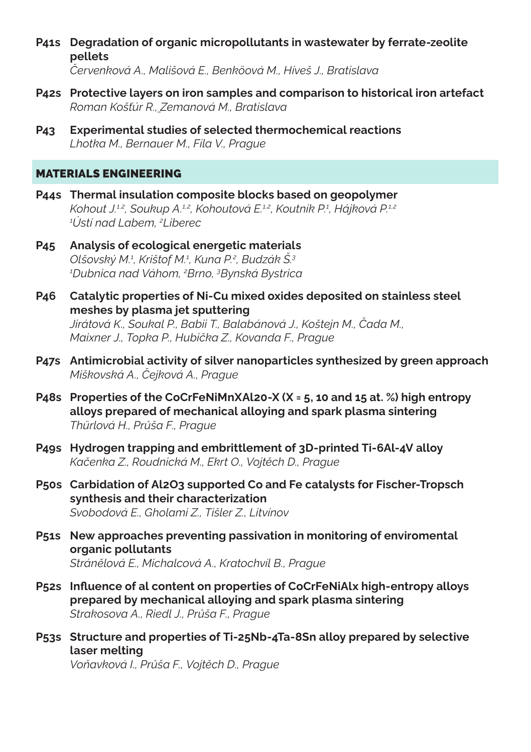**P41s Degradation of organic micropollutants in wastewater by ferrate-zeolite pellets**

*Červenková A., Mališová E., Benköová M., Híveš J., Bratislava*

- **P42s Protective layers on iron samples and comparison to historical iron artefact** *Roman Košťúr R., Zemanová M., Bratislava*
- **P43 Experimental studies of selected thermochemical reactions** *Lhotka M., Bernauer M., Fíla V., Prague*

## MATERIALS ENGINEERING

- **P44s Thermal insulation composite blocks based on geopolymer** *Kohout J.1,2, Soukup A.1,2, Kohoutová E.1,2, Koutník P.<sup>1</sup> , Hájková P.1,2 1 Ústí nad Labem, <sup>2</sup> Liberec*
- **P45 Analysis of ecological energetic materials** *Olšovský M.1 , Krištof M.1 , Kuna P.2 , Budzák Š.<sup>3</sup> 1 Dubnica nad Váhom, <sup>2</sup> Brno, <sup>3</sup> Bynská Bystrica*
- **P46 Catalytic properties of Ni-Cu mixed oxides deposited on stainless steel meshes by plasma jet sputtering** *Jirátová K., Soukal P., Babii T., Balabánová J., Koštejn M., Čada M., Maixner J., Topka P., Hubička Z., Kovanda F., Prague*
- **P47s Antimicrobial activity of silver nanoparticles synthesized by green approach** *Miškovská A., Čejková A., Prague*
- **P48s Properties of the CoCrFeNiMnXAl20-X (X = 5, 10 and 15 at. %) high entropy alloys prepared of mechanical alloying and spark plasma sintering** *Thürlová H., Průša F., Prague*
- **P49s Hydrogen trapping and embrittlement of 3D-printed Ti-6Al-4V alloy** *Kačenka Z., Roudnická M., Ekrt O., Vojtěch D., Prague*
- **P50s Carbidation of Al2O3 supported Co and Fe catalysts for Fischer-Tropsch synthesis and their characterization** *Svobodová E., Gholami Z., Tišler Z., Litvínov*
- **P51s New approaches preventing passivation in monitoring of enviromental organic pollutants** *Stránělová E., Michalcová A., Kratochvíl B., Prague*
- **P52s Influence of al content on properties of CoCrFeNiAlx high-entropy alloys prepared by mechanical alloying and spark plasma sintering** *Strakosova A., Riedl J., Průša F., Prague*
- **P53s Structure and properties of Ti-25Nb-4Ta-8Sn alloy prepared by selective laser melting**

*Voňavková I., Průša F., Vojtěch D., Prague*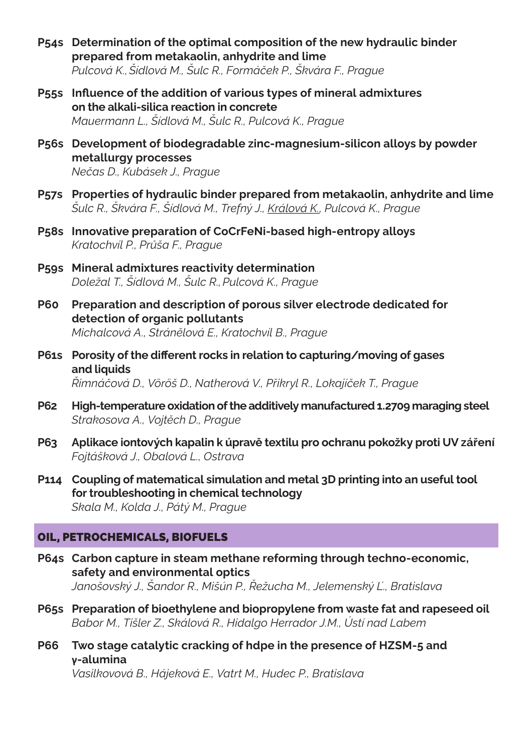- **P54s Determination of the optimal composition of the new hydraulic binder prepared from metakaolin, anhydrite and lime** *Pulcová K.,Šídlová M., Šulc R., Formáček P., Škvára F., Prague*
- **P55s Influence of the addition of various types of mineral admixtures on the alkali-silica reaction in concrete** *Mauermann L., Šídlová M., Šulc R., Pulcová K., Prague*
- **P56s Development of biodegradable zinc-magnesium-silicon alloys by powder metallurgy processes** *Nečas D., Kubásek J., Prague*
- **P57s Properties of hydraulic binder prepared from metakaolin, anhydrite and lime** *Šulc R., Škvára F., Šídlová M., Trefný J., Králová K., Pulcová K., Prague*
- **P58s Innovative preparation of CoCrFeNi-based high-entropy alloys** *Kratochvíl P., Průša F., Prague*
- **P59s Mineral admixtures reactivity determination** *Doležal T., Šídlová M., Šulc R.,Pulcová K., Prague*
- **P60 Preparation and description of porous silver electrode dedicated for detection of organic pollutants** *Michalcová A., Stránělová E., Kratochvíl B., Prague*
- **P61s Porosity of the different rocks in relation to capturing/moving of gases and liquids** *Řimnáčová D., Vöröš D., Natherová V., Přikryl R., Lokajíček T., Prague*
- **P62 High-temperature oxidation of the additively manufactured 1.2709 maraging steel** *Strakosova A., Vojtěch D., Prague*
- **P63 Aplikace iontových kapalin k úpravě textilu pro ochranu pokožky proti UV záření** *Fojtášková J., Obalová L., Ostrava*
- **P114 Coupling of matematical simulation and metal 3D printing into an useful tool for troubleshooting in chemical technology** *Skala M., Kolda J., Pátý M., Prague*

## OIL, PETROCHEMICALS, BIOFUELS

- **P64s Carbon capture in steam methane reforming through techno-economic, safety and environmental optics** *Janošovský J., Šandor R., Mišún P., Řežucha M., Jelemenský Ľ., Bratislava*
- **P65s Preparation of bioethylene and biopropylene from waste fat and rapeseed oil** *Babor M., Tišler Z., Skálová R., Hidalgo Herrador J.M., Ústí nad Labem*
- **P66 Two stage catalytic cracking of hdpe in the presence of HZSM-5 and γ-alumina**

*Vasilkovová B., Hájeková E., Vatrt M., Hudec P., Bratislava*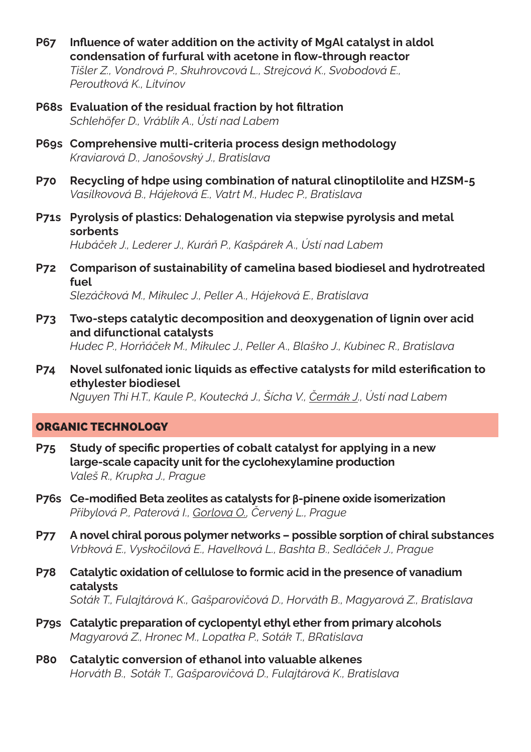- **P67 Influence of water addition on the activity of MgAl catalyst in aldol condensation of furfural with acetone in flow-through reactor** *Tišler Z., Vondrová P., Skuhrovcová L., Strejcová K., Svobodová E., Peroutková K., Litvínov*
- **P68s Evaluation of the residual fraction by hot filtration** *Schlehöfer D., Vráblík A., Ústí nad Labem*
- **P69s Comprehensive multi-criteria process design methodology** *Kraviarová D., Janošovský J., Bratislava*
- **P70 Recycling of hdpe using combination of natural clinoptilolite and HZSM-5** *Vasilkovová B., Hájeková E., Vatrt M., Hudec P., Bratislava*
- **P71s Pyrolysis of plastics: Dehalogenation via stepwise pyrolysis and metal sorbents** *Hubáček J., Lederer J., Kuráň P., Kašpárek A., Ústí nad Labem*
- **P72 Comparison of sustainability of camelina based biodiesel and hydrotreated fuel** *Slezáčková M., Mikulec J., Peller A., Hájeková E., Bratislava*
- **P73 Two-steps catalytic decomposition and deoxygenation of lignin over acid and difunctional catalysts** *Hudec P., Horňáček M., Mikulec J., Peller A., Blaško J., Kubinec R., Bratislava*
- **P74 Novel sulfonated ionic liquids as effective catalysts for mild esterification to ethylester biodiesel**

*Nguyen Thi H.T., Kaule P., Koutecká J., Šícha V., Čermák J., Ústí nad Labem*

#### ORGANIC TECHNOLOGY

- **P75 Study of specific properties of cobalt catalyst for applying in a new large-scale capacity unit for the cyclohexylamine production** *Valeš R., Krupka J., Prague*
- **P76s Ce-modified Beta zeolites as catalysts for β-pinene oxide isomerization** *Přibylová P., Paterová I., Gorlova O., Červený L., Prague*
- **P77 A novel chiral porous polymer networks possible sorption of chiral substances** *Vrbková E., Vyskočilová E., Havelková L., Bashta B., Sedláček J., Prague*
- **P78 Catalytic oxidation of cellulose to formic acid in the presence of vanadium catalysts** *Soták T., Fulajtárová K., Gašparovičová D., Horváth B., Magyarová Z., Bratislava*
- **P79s Catalytic preparation of cyclopentyl ethyl ether from primary alcohols** *Magyarová Z., Hronec M., Lopatka P., Soták T., BRatislava*
- **P80 Catalytic conversion of ethanol into valuable alkenes** *Horváth B., Soták T., Gašparovičová D., Fulajtárová K., Bratislava*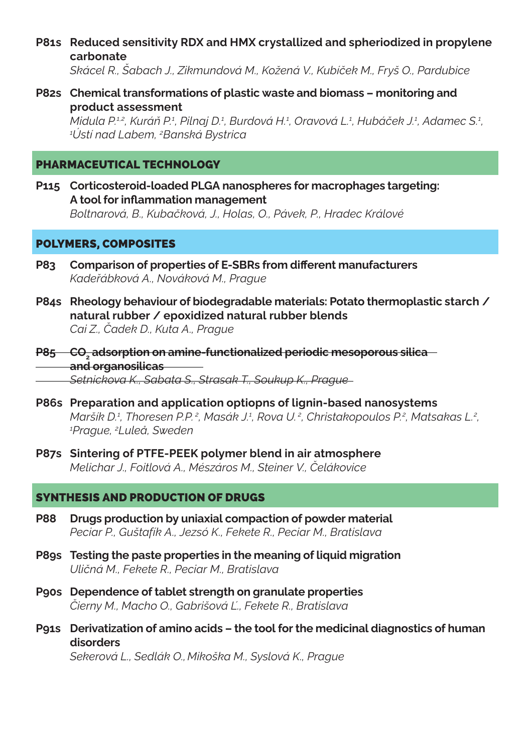**P81s Reduced sensitivity RDX and HMX crystallized and spheriodized in propylene carbonate**

*Skácel R., Šabach J., Zikmundová M., Kožená V., Kubíček M., Fryš O., Pardubice*

**P82s Chemical transformations of plastic waste and biomass – monitoring and product assessment**

*Midula P.12, Kuráň P.1, Pilnaj D.1, Burdová H.1, Oravová L.1, Hubáček J.1, Adamec S.1,*<br>1<sup>7</sup>letí nad Labem *?Banská Bystrica Ústí nad Labem, <sup>2</sup> Banská Bystrica*

#### PHARMACEUTICAL TECHNOLOGY

**P115 Corticosteroid-loaded PLGA nanospheres for macrophages targeting: A tool for inflammation management** *Boltnarová, B., Kubačková, J., Holas, O., Pávek, P., Hradec Králové*

#### POLYMERS, COMPOSITES

- **P83 Comparison of properties of E-SBRs from different manufacturers** *Kadeřábková A., Nováková M., Prague*
- **P84s Rheology behaviour of biodegradable materials: Potato thermoplastic starch / natural rubber / epoxidized natural rubber blends** *Cai Z., Čadek D., Kuta A., Prague*
- **P85 CO2 adsorption on amine-functionalized periodic mesoporous silica and organosilicas** *Setnickova K., Sabata S., Strasak T., Soukup K., Prague*
- **P86s Preparation and application optiopns of lignin-based nanosystems** Maršík D.ª, Thoresen P.P.ª, Masák J.ª, Rova U.ª, Christakopoulos P.ª, Matsakas L.ª,<br><sup>1</sup>Prague <sup>2</sup>Luleå, Sweden *Prague, 2 Luleå, Sweden*
- **P87s Sintering of PTFE-PEEK polymer blend in air atmosphere** *Melichar J., Foitlová A., Mészáros M., Steiner V., Čelákovice*

## SYNTHESIS AND PRODUCTION OF DRUGS

- **P88 Drugs production by uniaxial compaction of powder material** *Peciar P., Guštafík A., Jezsó K., Fekete R., Peciar M., Bratislava*
- **P89s Testing the paste properties in the meaning of liquid migration** *Uličná M., Fekete R., Peciar M., Bratislava*
- **P90s Dependence of tablet strength on granulate properties** *Čierny M., Macho O., Gabrišová Ľ., Fekete R., Bratislava*
- **P91s Derivatization of amino acids the tool for the medicinal diagnostics of human disorders**

*Sekerová L., Sedlák O., Mikoška M., Syslová K., Prague*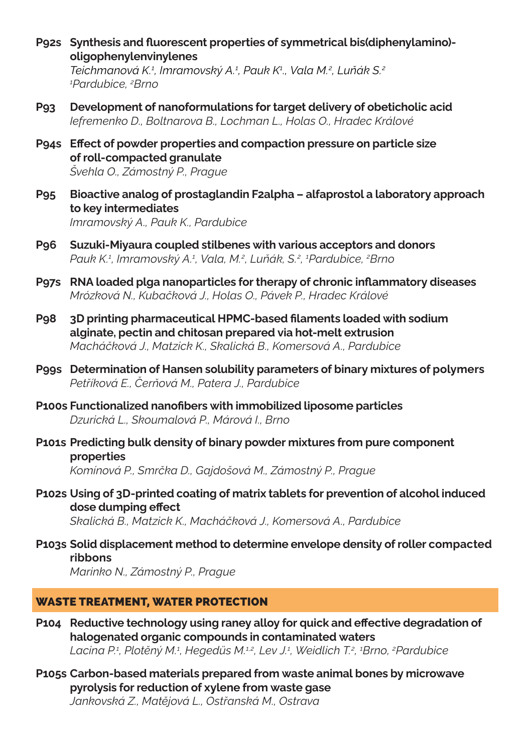**P92s** Synthesis and fluorescent properties of symmetrical bis(diphenylamino)**oligophenylenvinylenes**

*Teichmanová K.1 , Imramovský A.1 , Pauk K1 ., Vala M.<sup>2</sup> , Luňák S.<sup>2</sup> 1 Pardubice, 2 Brno*

- **P93 Development of nanoformulations for target delivery of obeticholic acid** *Iefremenko D., Boltnarova B., Lochman L., Holas O., Hradec Králové*
- **P94s Effect of powder properties and compaction pressure on particle size of roll-compacted granulate** *Švehla O., Zámostný P., Prague*
- **P95 Bioactive analog of prostaglandin F2alpha alfaprostol a laboratory approach to key intermediates** *Imramovský A., Pauk K., Pardubice*
- **P96 Suzuki-Miyaura coupled stilbenes with various acceptors and donors** *Pauk K.1 , Imramovský A.1 , Vala, M.<sup>2</sup> , Luňák, S.<sup>2</sup> , 1 Pardubice, 2 Brno*
- **P97s RNA loaded plga nanoparticles for therapy of chronic inflammatory diseases** *Mrózková N., Kubačková J., Holas O., Pávek P., Hradec Králové*
- **P98 3D printing pharmaceutical HPMC-based filaments loaded with sodium alginate, pectin and chitosan prepared via hot-melt extrusion** *Macháčková J., Matzick K., Skalická B., Komersová A., Pardubice*
- **P99s Determination of Hansen solubility parameters of binary mixtures of polymers** *Petříková E., Čerňová M., Patera J., Pardubice*
- **P100s Functionalized nanofibers with immobilized liposome particles** *Dzurická L., Skoumalová P., Márová I., Brno*
- **P101s Predicting bulk density of binary powder mixtures from pure component properties** *Komínová P., Smrčka D., Gajdošová M., Zámostný P., Prague*
- **P102s Using of 3D-printed coating of matrix tablets for prevention of alcohol induced dose dumping effect** *Skalická B., Matzick K., Macháčková J., Komersová A., Pardubice*

**P103s Solid displacement method to determine envelope density of roller compacted ribbons**

*Marinko N., Zámostný P., Prague*

## WASTE TREATMENT, WATER PROTECTION

- **P104 Reductive technology using raney alloy for quick and effective degradation of halogenated organic compounds in contaminated waters** *Lacina P.1 , Plotěný M.<sup>1</sup> , Hegedüs M.1,2, Lev J.1 , Weidlich T.2 , 1 Brno, <sup>2</sup> Pardubice*
- **P105s Carbon-based materials prepared from waste animal bones by microwave pyrolysis for reduction of xylene from waste gase** *Jankovská Z., Matějová L., Ostřanská M., Ostrava*